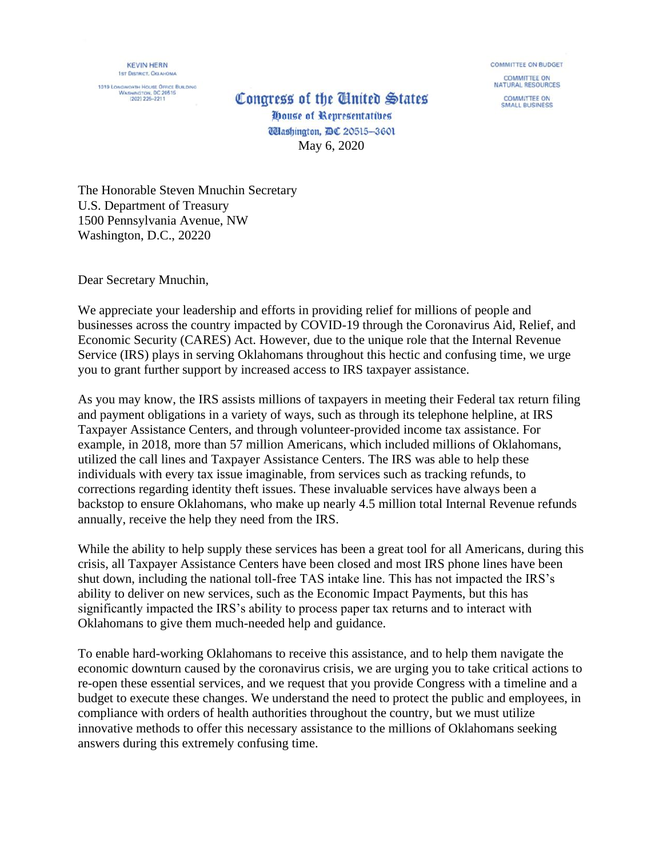**KEVIN HERN 1ST DISTRICT, OKLAHOMA** 

1019 LONGWORTH HOUSE OFFICE BUILDING<br>WASHINGTON, DC 20515<br>(202) 225-2211

## Congress of the United States

**COMMITTEE ON BUDGET COMMITTEE ON** NATURAL RESOURCES **COMMITTEE ON SMALL BUSINESS** 

House of Representatives **Wlashington, DC 20515-3601** May 6, 2020

The Honorable Steven Mnuchin Secretary U.S. Department of Treasury 1500 Pennsylvania Avenue, NW Washington, D.C., 20220

Dear Secretary Mnuchin,

We appreciate your leadership and efforts in providing relief for millions of people and businesses across the country impacted by COVID-19 through the Coronavirus Aid, Relief, and Economic Security (CARES) Act. However, due to the unique role that the Internal Revenue Service (IRS) plays in serving Oklahomans throughout this hectic and confusing time, we urge you to grant further support by increased access to IRS taxpayer assistance.

As you may know, the IRS assists millions of taxpayers in meeting their Federal tax return filing and payment obligations in a variety of ways, such as through its telephone helpline, at IRS Taxpayer Assistance Centers, and through volunteer-provided income tax assistance. For example, in 2018, more than 57 million Americans, which included millions of Oklahomans, utilized the call lines and Taxpayer Assistance Centers. The IRS was able to help these individuals with every tax issue imaginable, from services such as tracking refunds, to corrections regarding identity theft issues. These invaluable services have always been a backstop to ensure Oklahomans, who make up nearly 4.5 million total Internal Revenue refunds annually, receive the help they need from the IRS.

While the ability to help supply these services has been a great tool for all Americans, during this crisis, all Taxpayer Assistance Centers have been closed and most IRS phone lines have been shut down, including the national toll-free TAS intake line. This has not impacted the IRS's ability to deliver on new services, such as the Economic Impact Payments, but this has significantly impacted the IRS's ability to process paper tax returns and to interact with Oklahomans to give them much-needed help and guidance.

To enable hard-working Oklahomans to receive this assistance, and to help them navigate the economic downturn caused by the coronavirus crisis, we are urging you to take critical actions to re-open these essential services, and we request that you provide Congress with a timeline and a budget to execute these changes. We understand the need to protect the public and employees, in compliance with orders of health authorities throughout the country, but we must utilize innovative methods to offer this necessary assistance to the millions of Oklahomans seeking answers during this extremely confusing time.